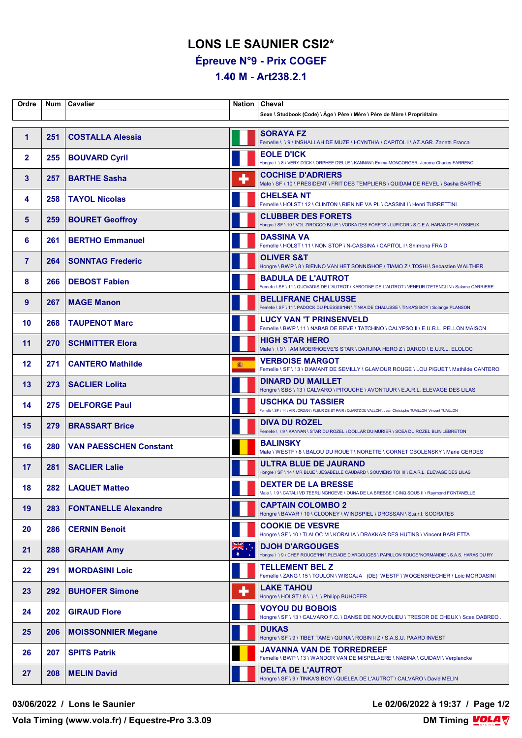## **LONS LE SAUNIER CSI2\***

**Épreuve N°9 - Prix COGEF**

**1.40 M - Art238.2.1**

| Ordre                | Num | Cavalier                      | Nation                  | Cheval                                                                                                                                       |
|----------------------|-----|-------------------------------|-------------------------|----------------------------------------------------------------------------------------------------------------------------------------------|
|                      |     |                               |                         | Sexe \ Studbook (Code) \ Âge \ Père \ Mère \ Père de Mère \ Propriétaire                                                                     |
| $\blacktriangleleft$ | 251 | <b>COSTALLA Alessia</b>       |                         | <b>SORAYA FZ</b><br>Femelle \ \ 9 \ INSHALLAH DE MUZE \ I-CYNTHIA \ CAPITOL I \ AZ.AGR. Zanetti Franca                                       |
| $\overline{2}$       | 255 | <b>BOUVARD Cyril</b>          |                         | <b>EOLE D'ICK</b><br>Hongre \ \ 8 \ VERY D'ICK \ ORPHEE D'ELLE \ KANNAN \ Emma MONCORGER Jerome Charles FARRENC                              |
| 3                    | 257 | <b>BARTHE Sasha</b>           | ٠                       | <b>COCHISE D'ADRIERS</b><br>Male \ SF \ 10 \ PRESIDENT \ FRIT DES TEMPLIERS \ QUIDAM DE REVEL \ Sasha BARTHE                                 |
| 4                    | 258 | <b>TAYOL Nicolas</b>          |                         | <b>CHELSEA NT</b><br>Femelle \HOLST \12 \CLINTON \RIEN NE VA PL \CASSINI I \Henri TURRETTINI                                                 |
| 5                    | 259 | <b>BOURET Geoffroy</b>        |                         | <b>CLUBBER DES FORETS</b><br>Hongre \ SF \ 10 \ VDL ZIROCCO BLUE \ VODKA DES FORETS \ LUPICOR \ S.C.E.A. HARAS DE FUYSSIEUX                  |
| 6                    | 261 | <b>BERTHO Emmanuel</b>        |                         | <b>DASSINA VA</b><br>Femelle \ HOLST \ 11 \ NON STOP \ N-CASSINA \ CAPITOL I \ Shimona FRAID                                                 |
| $\overline{7}$       | 264 | <b>SONNTAG Frederic</b>       |                         | <b>OLIVER S&amp;T</b><br>Hongre \ BWP \ 8 \ BIENNO VAN HET SONNISHOF \ TIAMO Z \ TOSHI \ Sebastien WALTHER                                   |
| 8                    | 266 | <b>DEBOST Fabien</b>          |                         | <b>BADULA DE L'AUTROT</b><br>Femelle \ SF \ 11 \ QUOVADIS DE L'AUTROT \ KABOTINE DE L'AUTROT \ VENEUR D'ETENCLIN \ Salome CARRIERE           |
| 9                    | 267 | <b>MAGE Manon</b>             |                         | <b>BELLIFRANE CHALUSSE</b><br>Femelle \ SF \ 11 \ PADOCK DU PLESSIS*HN \ TINKA DE CHALUSSE \ TINKA'S BOY \ Solange PLANSON                   |
| 10                   | 268 | <b>TAUPENOT Marc</b>          |                         | <b>LUCY VAN 'T PRINSENVELD</b><br>Femelle \BWP \ 11 \ NABAB DE REVE \ TATCHINO \ CALYPSO II \ E.U.R.L. PELLON MAISON                         |
| 11                   | 270 | <b>SCHMITTER Elora</b>        |                         | <b>HIGH STAR HERO</b><br>Male \\9\IAM MOERHOEVE'S STAR \DARJINA HERO Z \DARCO \E.U.R.L. ELOLOC                                               |
| 12                   | 271 | <b>CANTERO Mathilde</b>       | ● 1                     | <b>VERBOISE MARGOT</b><br>Femelle \ SF \ 13 \ DIAMANT DE SEMILLY \ GLAMOUR ROUGE \ LOU PIGUET \ Mathilde CANTERO                             |
| 13                   | 273 | <b>SACLIER Lolita</b>         |                         | <b>DINARD DU MAILLET</b><br>Hongre \ SBS \ 13 \ CALVARO \ PITOUCHE \ AVONTUUR \ E.A.R.L. ELEVAGE DES LILAS                                   |
| 14                   | 275 | <b>DELFORGE Paul</b>          |                         | <b>USCHKA DU TASSIER</b><br>Femelle \ SF \ 14 \ AIR JORDAN \ FLEUR DE ST PAIR \ QUARTZ DU VALLON \ Jean-Christophe TUAILLON Vincent TUAILLON |
| 15                   | 279 | <b>BRASSART Brice</b>         |                         | <b>DIVA DU ROZEL</b><br>Femelle \ \ 9 \ KANNAN \ STAR DU ROZEL \ DOLLAR DU MURIER \ SCEA DU ROZEL BLIN LEBRETON                              |
| 16                   | 280 | <b>VAN PAESSCHEN Constant</b> |                         | <b>BALINSKY</b><br>Male \ WESTF \ 8 \ BALOU DU ROUET \ NORETTE \ CORNET OBOLENSKY \ Marie GERDES                                             |
| 17                   | 281 | <b>SACLIER Lalie</b>          |                         | ULTRA BLUE DE JAURAND<br>Hongre \ SF \ 14 \ MR BLUE \ JESABELLE CAUDARD \ SOUVIENS TOI III \ E.A.R.L. ELEVAGE DES LILAS                      |
| 18                   |     | 282   LAQUET Matteo           |                         | <b>DEXTER DE LA BRESSE</b><br>Male \\9\CATALI VD TEERLINGHOEVE \OUNA DE LA BRESSE \CINQ SOUS II \ Raymond FONTANELLE                         |
| 19                   | 283 | <b>FONTANELLE Alexandre</b>   |                         | <b>CAPTAIN COLOMBO 2</b><br>Hongre \ BAVAR \ 10 \ CLOONEY \ WINDSPIEL \ DROSSAN \ S.a.r.l. SOCRATES                                          |
| 20                   | 286 | <b>CERNIN Benoit</b>          |                         | <b>COOKIE DE VESVRE</b><br>Hongre \ SF \ 10 \ TLALOC M \ KORALIA \ DRAKKAR DES HUTINS \ Vincent BARLETTA                                     |
| 21                   | 288 | <b>GRAHAM Amy</b>             | $\frac{1}{\frac{1}{2}}$ | <b>DJOH D'ARGOUGES</b><br>Hongre \\9\CHEF ROUGE*HN\PLEIADE D'ARGOUGES\PAPILLON ROUGE*NORMANDIE \S.A.S. HARAS DU RY                           |
| 22                   | 291 | <b>MORDASINI Loic</b>         |                         | <b>TELLEMENT BEL Z</b><br>Femelle \ ZANG \ 15 \ TOULON \ WISCAJA (DE) WESTF \ WOGENBRECHER \ Loic MORDASINI                                  |
| 23                   | 292 | <b>BUHOFER Simone</b>         | ╇                       | <b>LAKE TAHOU</b><br>Hongre \ HOLST \ 8 \ \ \ \ Philipp BUHOFER                                                                              |
| 24                   | 202 | <b>GIRAUD Flore</b>           |                         | <b>VOYOU DU BOBOIS</b><br>Hongre \ SF \ 13 \ CALVARO F.C. \ DANSE DE NOUVOLIEU \ TRESOR DE CHEUX \ Scea DABREO.                              |
| 25                   | 206 | <b>MOISSONNIER Megane</b>     |                         | <b>DUKAS</b><br>Hongre \ SF \ 9 \ TIBET TAME \ QUINA \ ROBIN II Z \ S.A.S.U. PAARD INVEST                                                    |
| 26                   | 207 | <b>SPITS Patrik</b>           |                         | JAVANNA VAN DE TORREDREEF<br>Femelle \ BWP \ 13 \ WANDOR VAN DE MISPELAERE \ NABINA \ GUIDAM \ Verplancke                                    |
| 27                   | 208 | <b>MELIN David</b>            |                         | <b>DELTA DE L'AUTROT</b><br>Hongre \ SF \ 9 \ TINKA'S BOY \ QUELEA DE L'AUTROT \ CALVARO \ David MELIN                                       |

**03/06/2022 / Lons le Saunier Le 02/06/2022 à 19:37 / Page 1/2**

**Vola Timing (www.vola.fr) / Equestre-Pro 3.3.09**